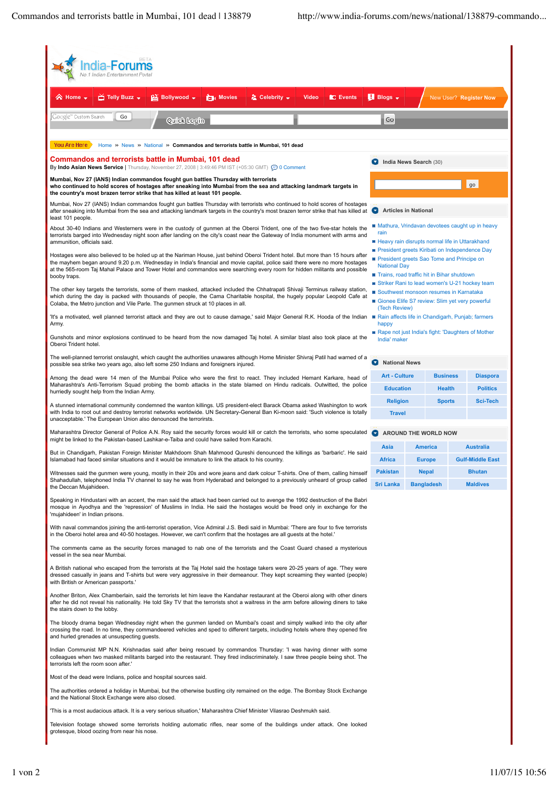